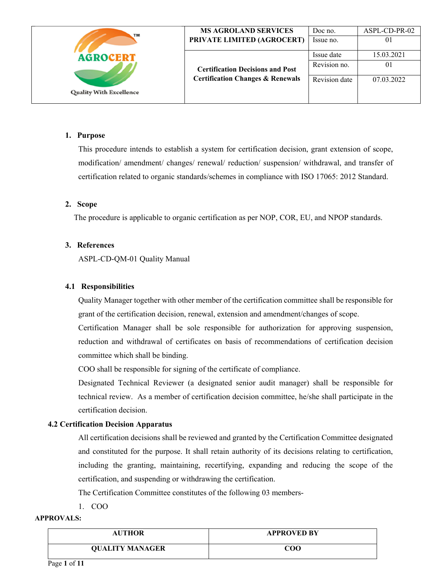| TM                             | <b>MS AGROLAND SERVICES</b>                 | Doc no.       | ASPL-CD-PR-02 |
|--------------------------------|---------------------------------------------|---------------|---------------|
|                                | PRIVATE LIMITED (AGROCERT)                  | Issue no.     | 01            |
| <b>AGROCERT</b>                |                                             | Issue date    | 15.03.2021    |
|                                | <b>Certification Decisions and Post</b>     | Revision no.  | 01            |
| <b>Quality With Excellence</b> | <b>Certification Changes &amp; Renewals</b> | Revision date | 07.03.2022    |
|                                |                                             |               |               |

#### **1. Purpose**

This procedure intends to establish a system for certification decision, grant extension of scope, modification/ amendment/ changes/ renewal/ reduction/ suspension/ withdrawal, and transfer of certification related to organic standards/schemes in compliance with ISO 17065: 2012 Standard.

### **2. Scope**

The procedure is applicable to organic certification as per NOP, COR, EU, and NPOP standards.

### **3. References**

ASPL-CD-QM-01 Quality Manual

### **4.1 Responsibilities**

Quality Manager together with other member of the certification committee shall be responsible for grant of the certification decision, renewal, extension and amendment/changes of scope.

Certification Manager shall be sole responsible for authorization for approving suspension, reduction and withdrawal of certificates on basis of recommendations of certification decision committee which shall be binding.

COO shall be responsible for signing of the certificate of compliance.

Designated Technical Reviewer (a designated senior audit manager) shall be responsible for technical review. As a member of certification decision committee, he/she shall participate in the certification decision.

## **4.2 Certification Decision Apparatus**

All certification decisions shall be reviewed and granted by the Certification Committee designated and constituted for the purpose. It shall retain authority of its decisions relating to certification, including the granting, maintaining, recertifying, expanding and reducing the scope of the certification, and suspending or withdrawing the certification.

The Certification Committee constitutes of the following 03 members-

1. COO

### **APPROVALS:**

| <b>AUTHOR</b>          | <b>APPROVED BY</b> |
|------------------------|--------------------|
| <b>QUALITY MANAGER</b> | COO                |

Page **1** of **11**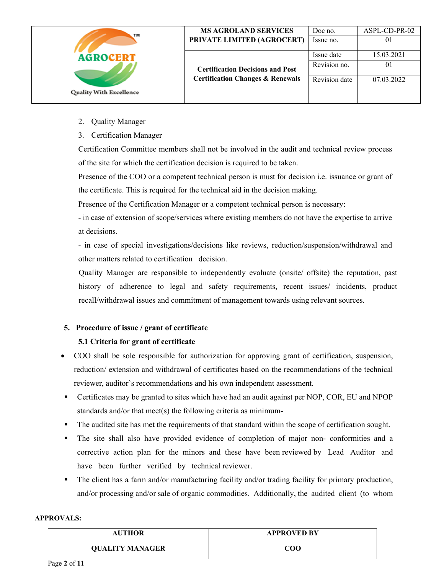| TМ                             | <b>MS AGROLAND SERVICES</b><br>PRIVATE LIMITED (AGROCERT) | Doc no.<br>Issue no.       | ASPL-CD-PR-02<br>0 <sup>1</sup> |
|--------------------------------|-----------------------------------------------------------|----------------------------|---------------------------------|
| <b>AGROCERT</b>                | <b>Certification Decisions and Post</b>                   | Issue date<br>Revision no. | 15.03.2021<br>01                |
| <b>Quality With Excellence</b> | <b>Certification Changes &amp; Renewals</b>               | Revision date              | 07.03.2022                      |

- 2. Quality Manager
- 3. Certification Manager

Certification Committee members shall not be involved in the audit and technical review process of the site for which the certification decision is required to be taken.

Presence of the COO or a competent technical person is must for decision i.e. issuance or grant of the certificate. This is required for the technical aid in the decision making.

Presence of the Certification Manager or a competent technical person is necessary:

- in case of extension of scope/services where existing members do not have the expertise to arrive at decisions.

- in case of special investigations/decisions like reviews, reduction/suspension/withdrawal and other matters related to certification decision.

Quality Manager are responsible to independently evaluate (onsite/ offsite) the reputation, past history of adherence to legal and safety requirements, recent issues/ incidents, product recall/withdrawal issues and commitment of management towards using relevant sources.

# **5. Procedure of issue / grant of certificate**

## **5.1 Criteria for grant of certificate**

- COO shall be sole responsible for authorization for approving grant of certification, suspension, reduction/ extension and withdrawal of certificates based on the recommendations of the technical reviewer, auditor's recommendations and his own independent assessment.
- Certificates may be granted to sites which have had an audit against per NOP, COR, EU and NPOP standards and/or that meet(s) the following criteria as minimum-
- The audited site has met the requirements of that standard within the scope of certification sought.
- The site shall also have provided evidence of completion of major non- conformities and a corrective action plan for the minors and these have been reviewed by Lead Auditor and have been further verified by technical reviewer.
- The client has a farm and/or manufacturing facility and/or trading facility for primary production, and/or processing and/or sale of organic commodities. Additionally, the audited client (to whom

| <b>AUTHOR</b>          | <b>APPROVED BY</b> |
|------------------------|--------------------|
| <b>QUALITY MANAGER</b> | COO                |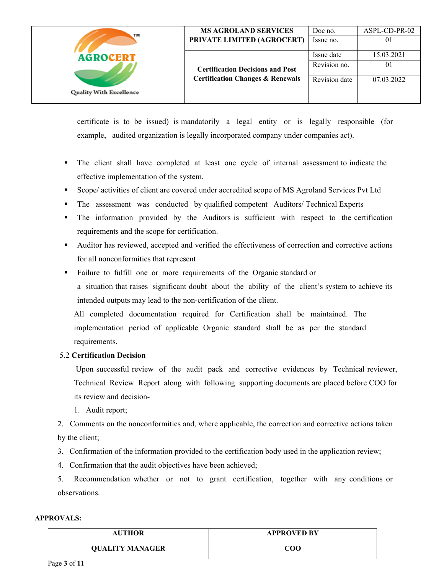| TM                             | <b>MS AGROLAND SERVICES</b>                 | Doc no.       | ASPL-CD-PR-02 |
|--------------------------------|---------------------------------------------|---------------|---------------|
|                                | PRIVATE LIMITED (AGROCERT)                  | Issue no.     | 01            |
| <b>AGROCERT</b>                |                                             | Issue date    | 15.03.2021    |
|                                | <b>Certification Decisions and Post</b>     | Revision no.  | 01            |
| <b>Quality With Excellence</b> | <b>Certification Changes &amp; Renewals</b> | Revision date | 07.03.2022    |
|                                |                                             |               |               |

certificate is to be issued) is mandatorily a legal entity or is legally responsible (for example, audited organization is legally incorporated company under companies act).

- The client shall have completed at least one cycle of internal assessment to indicate the effective implementation of the system.
- Scope/ activities of client are covered under accredited scope of MS Agroland Services Pvt Ltd
- The assessment was conducted by qualified competent Auditors/ Technical Experts
- The information provided by the Auditors is sufficient with respect to the certification requirements and the scope for certification.
- Auditor has reviewed, accepted and verified the effectiveness of correction and corrective actions for all nonconformities that represent
- Failure to fulfill one or more requirements of the Organic standard or a situation that raises significant doubt about the ability of the client's system to achieve its intended outputs may lead to the non-certification of the client.

All completed documentation required for Certification shall be maintained. The implementation period of applicable Organic standard shall be as per the standard requirements.

## 5.2 **Certification Decision**

 Upon successful review of the audit pack and corrective evidences by Technical reviewer, Technical Review Report along with following supporting documents are placed before COO for its review and decision-

1. Audit report;

2. Comments on the nonconformities and, where applicable, the correction and corrective actions taken by the client;

3. Confirmation of the information provided to the certification body used in the application review;

4. Confirmation that the audit objectives have been achieved;

5. Recommendation whether or not to grant certification, together with any conditions or observations.

| <b>AUTHOR</b>          | <b>APPROVED BY</b>               |
|------------------------|----------------------------------|
| <b>QUALITY MANAGER</b> | $\mathbf{C}\mathbf{O}\mathbf{O}$ |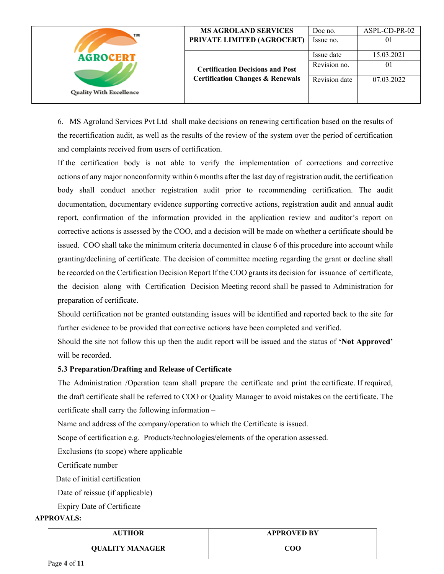| TM                             | <b>MS AGROLAND SERVICES</b><br>PRIVATE LIMITED (AGROCERT) | Doc no.<br>Issue no.       | ASPL-CD-PR-02<br>01 |
|--------------------------------|-----------------------------------------------------------|----------------------------|---------------------|
| <b>AGROCERT</b>                | <b>Certification Decisions and Post</b>                   | Issue date<br>Revision no. | 15.03.2021<br>01    |
|                                | <b>Certification Changes &amp; Renewals</b>               | Revision date              | 07.03.2022          |
| <b>Quality With Excellence</b> |                                                           |                            |                     |

6. MS Agroland Services Pvt Ltd shall make decisions on renewing certification based on the results of the recertification audit, as well as the results of the review of the system over the period of certification and complaints received from users of certification.

If the certification body is not able to verify the implementation of corrections and corrective actions of any major nonconformity within 6 months after the last day of registration audit, the certification body shall conduct another registration audit prior to recommending certification. The audit documentation, documentary evidence supporting corrective actions, registration audit and annual audit report, confirmation of the information provided in the application review and auditor's report on corrective actions is assessed by the COO, and a decision will be made on whether a certificate should be issued. COO shall take the minimum criteria documented in clause 6 of this procedure into account while granting/declining of certificate. The decision of committee meeting regarding the grant or decline shall be recorded on the Certification Decision Report If the COO grants its decision for issuance of certificate, the decision along with Certification Decision Meeting record shall be passed to Administration for preparation of certificate.

Should certification not be granted outstanding issues will be identified and reported back to the site for further evidence to be provided that corrective actions have been completed and verified.

Should the site not follow this up then the audit report will be issued and the status of **'Not Approved'**  will be recorded.

#### **5.3 Preparation/Drafting and Release of Certificate**

The Administration /Operation team shall prepare the certificate and print the certificate. If required, the draft certificate shall be referred to COO or Quality Manager to avoid mistakes on the certificate. The certificate shall carry the following information –

Name and address of the company/operation to which the Certificate is issued.

Scope of certification e.g. Products/technologies/elements of the operation assessed.

Exclusions (to scope) where applicable

Certificate number

Date of initial certification

Date of reissue (if applicable)

Expiry Date of Certificate

# **APPROVALS:**

| <b>AUTHOR</b>          | <b>APPROVED BY</b> |
|------------------------|--------------------|
| <b>QUALITY MANAGER</b> | COO                |

Page **4** of **11**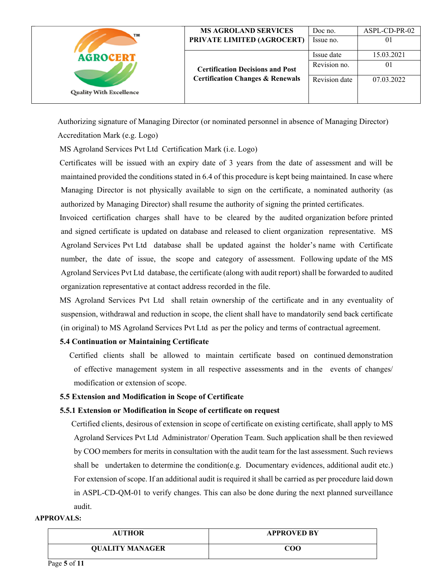| TM                             | <b>MS AGROLAND SERVICES</b>                 | Doc no.       | ASPL-CD-PR-02 |
|--------------------------------|---------------------------------------------|---------------|---------------|
|                                | PRIVATE LIMITED (AGROCERT)                  | Issue no.     | 01            |
| <b>AGROCERT</b>                |                                             | Issue date    | 15.03.2021    |
|                                | <b>Certification Decisions and Post</b>     | Revision no.  | 01            |
| <b>Quality With Excellence</b> | <b>Certification Changes &amp; Renewals</b> | Revision date | 07.03.2022    |
|                                |                                             |               |               |

Authorizing signature of Managing Director (or nominated personnel in absence of Managing Director)

Accreditation Mark (e.g. Logo)

MS Agroland Services Pvt Ltd Certification Mark (i.e. Logo)

 Certificates will be issued with an expiry date of 3 years from the date of assessment and will be maintained provided the conditions stated in 6.4 of this procedure is kept being maintained. In case where Managing Director is not physically available to sign on the certificate, a nominated authority (as authorized by Managing Director) shall resume the authority of signing the printed certificates.

 Invoiced certification charges shall have to be cleared by the audited organization before printed and signed certificate is updated on database and released to client organization representative. MS Agroland Services Pvt Ltd database shall be updated against the holder's name with Certificate number, the date of issue, the scope and category of assessment. Following update of the MS Agroland Services Pvt Ltd database, the certificate (along with audit report) shall be forwarded to audited organization representative at contact address recorded in the file.

 MS Agroland Services Pvt Ltd shall retain ownership of the certificate and in any eventuality of suspension, withdrawal and reduction in scope, the client shall have to mandatorily send back certificate (in original) to MS Agroland Services Pvt Ltd as per the policy and terms of contractual agreement.

## **5.4 Continuation or Maintaining Certificate**

 Certified clients shall be allowed to maintain certificate based on continued demonstration of effective management system in all respective assessments and in the events of changes/ modification or extension of scope.

#### **5.5 Extension and Modification in Scope of Certificate**

#### **5.5.1 Extension or Modification in Scope of certificate on request**

 Certified clients, desirous of extension in scope of certificate on existing certificate, shall apply to MS Agroland Services Pvt Ltd Administrator/ Operation Team. Such application shall be then reviewed by COO members for merits in consultation with the audit team for the last assessment. Such reviews shall be undertaken to determine the condition(e.g. Documentary evidences, additional audit etc.) For extension of scope. If an additional audit is required it shall be carried as per procedure laid down in ASPL-CD-QM-01 to verify changes. This can also be done during the next planned surveillance audit.

| <b>AUTHOR</b>          | <b>APPROVED BY</b> |
|------------------------|--------------------|
| <b>QUALITY MANAGER</b> | COO                |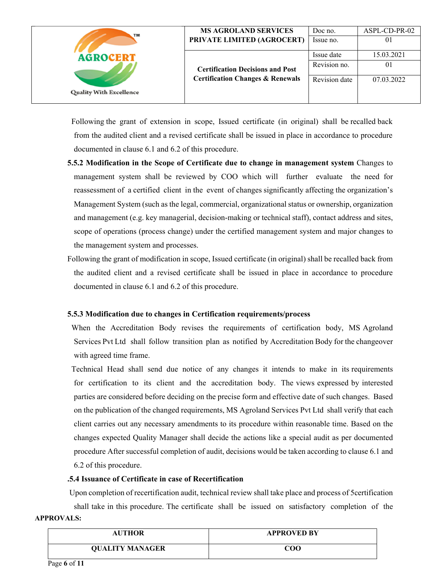| TM                             | <b>MS AGROLAND SERVICES</b><br>PRIVATE LIMITED (AGROCERT) | Doc no.<br>Issue no.       | ASPL-CD-PR-02<br>01 |
|--------------------------------|-----------------------------------------------------------|----------------------------|---------------------|
| <b>AGROCERT</b>                | <b>Certification Decisions and Post</b>                   | Issue date<br>Revision no. | 15.03.2021<br>01    |
| <b>Quality With Excellence</b> | <b>Certification Changes &amp; Renewals</b>               | Revision date              | 07.03.2022          |

 Following the grant of extension in scope, Issued certificate (in original) shall be recalled back from the audited client and a revised certificate shall be issued in place in accordance to procedure documented in clause 6.1 and 6.2 of this procedure.

- **5.5.2 Modification in the Scope of Certificate due to change in management system** Changes to management system shall be reviewed by COO which will further evaluate the need for reassessment of a certified client in the event of changes significantly affecting the organization's Management System (such as the legal, commercial, organizational status or ownership, organization and management (e.g. key managerial, decision-making or technical staff), contact address and sites, scope of operations (process change) under the certified management system and major changes to the management system and processes.
- Following the grant of modification in scope, Issued certificate (in original) shall be recalled back from the audited client and a revised certificate shall be issued in place in accordance to procedure documented in clause 6.1 and 6.2 of this procedure.

#### **5.5.3 Modification due to changes in Certification requirements/process**

 When the Accreditation Body revises the requirements of certification body, MS Agroland Services Pvt Ltd shall follow transition plan as notified by Accreditation Body for the changeover with agreed time frame.

 Technical Head shall send due notice of any changes it intends to make in its requirements for certification to its client and the accreditation body. The views expressed by interested parties are considered before deciding on the precise form and effective date of such changes. Based on the publication of the changed requirements, MS Agroland Services Pvt Ltd shall verify that each client carries out any necessary amendments to its procedure within reasonable time. Based on the changes expected Quality Manager shall decide the actions like a special audit as per documented procedure After successful completion of audit, decisions would be taken according to clause 6.1 and 6.2 of this procedure.

#### **.5.4 Issuance of Certificate in case of Recertification**

**APPROVALS:**  Upon completion of recertification audit, technical review shall take place and process of 5certification shall take in this procedure. The certificate shall be issued on satisfactory completion of the

| <b>AUTHOR</b>          | <b>APPROVED BY</b> |
|------------------------|--------------------|
| <b>QUALITY MANAGER</b> | COO                |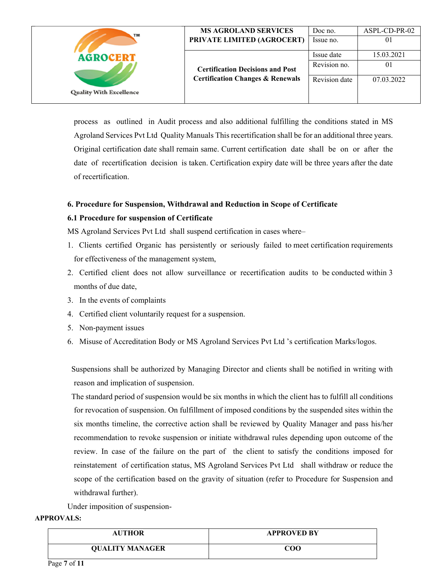| TM                             | <b>MS AGROLAND SERVICES</b>                                                            | Doc no.       | ASPL-CD-PR-02 |
|--------------------------------|----------------------------------------------------------------------------------------|---------------|---------------|
|                                | PRIVATE LIMITED (AGROCERT)                                                             | Issue no.     | 01            |
| <b>AGROCERT</b>                |                                                                                        | Issue date    | 15.03.2021    |
|                                | <b>Certification Decisions and Post</b><br><b>Certification Changes &amp; Renewals</b> | Revision no.  | 01            |
| <b>Quality With Excellence</b> |                                                                                        | Revision date | 07.03.2022    |
|                                |                                                                                        |               |               |

process as outlined in Audit process and also additional fulfilling the conditions stated in MS Agroland Services Pvt Ltd Quality Manuals This recertification shall be for an additional three years. Original certification date shall remain same. Current certification date shall be on or after the date of recertification decision is taken. Certification expiry date will be three years after the date of recertification.

### **6. Procedure for Suspension, Withdrawal and Reduction in Scope of Certificate**

#### **6.1 Procedure for suspension of Certificate**

MS Agroland Services Pvt Ltd shall suspend certification in cases where–

- 1. Clients certified Organic has persistently or seriously failed to meet certification requirements for effectiveness of the management system,
- 2. Certified client does not allow surveillance or recertification audits to be conducted within 3 months of due date,
- 3. In the events of complaints
- 4. Certified client voluntarily request for a suspension.
- 5. Non-payment issues
- 6. Misuse of Accreditation Body or MS Agroland Services Pvt Ltd 's certification Marks/logos.

 Suspensions shall be authorized by Managing Director and clients shall be notified in writing with reason and implication of suspension.

 The standard period of suspension would be six months in which the client has to fulfill all conditions for revocation of suspension. On fulfillment of imposed conditions by the suspended sites within the six months timeline, the corrective action shall be reviewed by Quality Manager and pass his/her recommendation to revoke suspension or initiate withdrawal rules depending upon outcome of the review. In case of the failure on the part of the client to satisfy the conditions imposed for reinstatement of certification status, MS Agroland Services Pvt Ltd shall withdraw or reduce the scope of the certification based on the gravity of situation (refer to Procedure for Suspension and withdrawal further).

Under imposition of suspension-

| <b>AUTHOR</b>          | <b>APPROVED BY</b> |
|------------------------|--------------------|
| <b>QUALITY MANAGER</b> | $_{\rm COO}$       |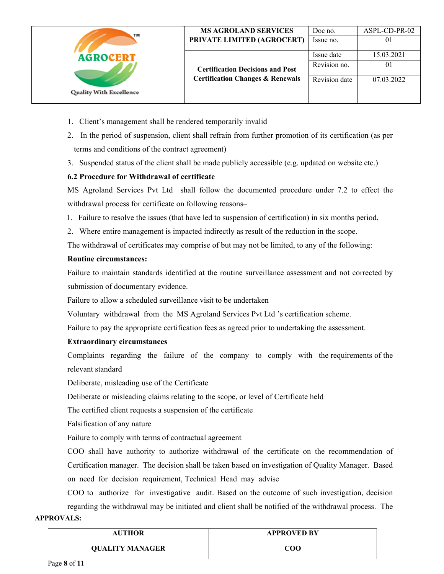| TM                             | <b>MS AGROLAND SERVICES</b><br>PRIVATE LIMITED (AGROCERT) | Doc no.<br>Issue no.       | ASPL-CD-PR-02<br>01 |
|--------------------------------|-----------------------------------------------------------|----------------------------|---------------------|
| <b>AGROCERT</b>                | <b>Certification Decisions and Post</b>                   | Issue date<br>Revision no. | 15.03.2021<br>01    |
| <b>Quality With Excellence</b> | <b>Certification Changes &amp; Renewals</b>               | Revision date              | 07.03.2022          |

- 1. Client's management shall be rendered temporarily invalid
- 2. In the period of suspension, client shall refrain from further promotion of its certification (as per terms and conditions of the contract agreement)
- 3. Suspended status of the client shall be made publicly accessible (e.g. updated on website etc.)

## **6.2 Procedure for Withdrawal of certificate**

MS Agroland Services Pvt Ltd shall follow the documented procedure under 7.2 to effect the withdrawal process for certificate on following reasons–

- 1. Failure to resolve the issues (that have led to suspension of certification) in six months period,
- 2. Where entire management is impacted indirectly as result of the reduction in the scope.
- The withdrawal of certificates may comprise of but may not be limited, to any of the following:

## **Routine circumstances:**

 Failure to maintain standards identified at the routine surveillance assessment and not corrected by submission of documentary evidence.

Failure to allow a scheduled surveillance visit to be undertaken

Voluntary withdrawal from the MS Agroland Services Pvt Ltd 's certification scheme.

Failure to pay the appropriate certification fees as agreed prior to undertaking the assessment.

## **Extraordinary circumstances**

 Complaints regarding the failure of the company to comply with the requirements of the relevant standard

Deliberate, misleading use of the Certificate

Deliberate or misleading claims relating to the scope, or level of Certificate held

The certified client requests a suspension of the certificate

Falsification of any nature

Failure to comply with terms of contractual agreement

COO shall have authority to authorize withdrawal of the certificate on the recommendation of Certification manager. The decision shall be taken based on investigation of Quality Manager. Based on need for decision requirement, Technical Head may advise

COO to authorize for investigative audit. Based on the outcome of such investigation, decision regarding the withdrawal may be initiated and client shall be notified of the withdrawal process. The

| <b>AUTHOR</b>          | <b>APPROVED BY</b>               |
|------------------------|----------------------------------|
| <b>QUALITY MANAGER</b> | $\mathbf{C}\mathbf{O}\mathbf{O}$ |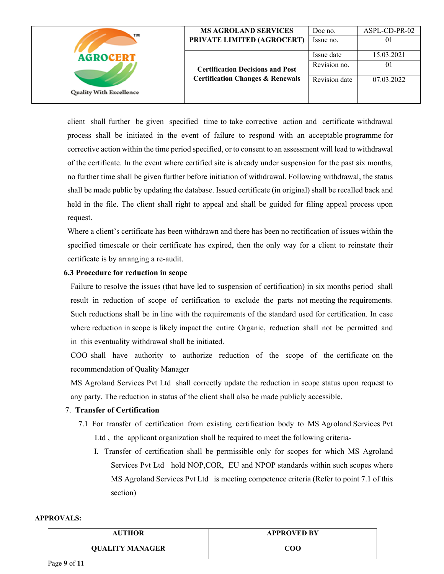| TM                             | <b>MS AGROLAND SERVICES</b><br>PRIVATE LIMITED (AGROCERT) | Doc no.<br>Issue no.       | ASPL-CD-PR-02<br>01          |
|--------------------------------|-----------------------------------------------------------|----------------------------|------------------------------|
| <b>AGROCERT</b>                | <b>Certification Decisions and Post</b>                   | Issue date<br>Revision no. | 15.03.2021<br>$\overline{0}$ |
| <b>Quality With Excellence</b> | <b>Certification Changes &amp; Renewals</b>               | Revision date              | 07.03.2022                   |

client shall further be given specified time to take corrective action and certificate withdrawal process shall be initiated in the event of failure to respond with an acceptable programme for corrective action within the time period specified, or to consent to an assessment will lead to withdrawal of the certificate. In the event where certified site is already under suspension for the past six months, no further time shall be given further before initiation of withdrawal. Following withdrawal, the status shall be made public by updating the database. Issued certificate (in original) shall be recalled back and held in the file. The client shall right to appeal and shall be guided for filing appeal process upon request.

Where a client's certificate has been withdrawn and there has been no rectification of issues within the specified timescale or their certificate has expired, then the only way for a client to reinstate their certificate is by arranging a re-audit.

#### **6.3 Procedure for reduction in scope**

Failure to resolve the issues (that have led to suspension of certification) in six months period shall result in reduction of scope of certification to exclude the parts not meeting the requirements. Such reductions shall be in line with the requirements of the standard used for certification. In case where reduction in scope is likely impact the entire Organic, reduction shall not be permitted and in this eventuality withdrawal shall be initiated.

COO shall have authority to authorize reduction of the scope of the certificate on the recommendation of Quality Manager

MS Agroland Services Pvt Ltd shall correctly update the reduction in scope status upon request to any party. The reduction in status of the client shall also be made publicly accessible.

#### 7. **Transfer of Certification**

- 7.1 For transfer of certification from existing certification body to MS Agroland Services Pvt Ltd , the applicant organization shall be required to meet the following criteria-
	- I. Transfer of certification shall be permissible only for scopes for which MS Agroland Services Pvt Ltd hold NOP,COR, EU and NPOP standards within such scopes where MS Agroland Services Pvt Ltd is meeting competence criteria (Refer to point 7.1 of this section)

| <b>AUTHOR</b>          | <b>APPROVED BY</b> |
|------------------------|--------------------|
| <b>QUALITY MANAGER</b> | COO                |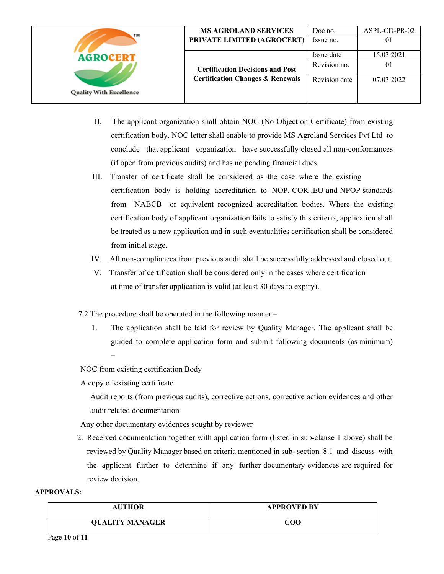| TM                             | <b>MS AGROLAND SERVICES</b>                 | Doc no.       | ASPL-CD-PR-02 |
|--------------------------------|---------------------------------------------|---------------|---------------|
|                                | PRIVATE LIMITED (AGROCERT)                  | Issue no.     | 01            |
| <b>AGROCERT</b>                |                                             | Issue date    | 15.03.2021    |
|                                | <b>Certification Decisions and Post</b>     | Revision no.  | 01            |
| <b>Quality With Excellence</b> | <b>Certification Changes &amp; Renewals</b> | Revision date | 07.03.2022    |
|                                |                                             |               |               |

- II. The applicant organization shall obtain NOC (No Objection Certificate) from existing certification body. NOC letter shall enable to provide MS Agroland Services Pvt Ltd to conclude that applicant organization have successfully closed all non-conformances (if open from previous audits) and has no pending financial dues.
- III. Transfer of certificate shall be considered as the case where the existing certification body is holding accreditation to NOP, COR ,EU and NPOP standards from NABCB or equivalent recognized accreditation bodies. Where the existing certification body of applicant organization fails to satisfy this criteria, application shall be treated as a new application and in such eventualities certification shall be considered from initial stage.
- IV. All non-compliances from previous audit shall be successfully addressed and closed out.
- V. Transfer of certification shall be considered only in the cases where certification at time of transfer application is valid (at least 30 days to expiry).
- 7.2 The procedure shall be operated in the following manner
	- 1. The application shall be laid for review by Quality Manager. The applicant shall be guided to complete application form and submit following documents (as minimum) –

NOC from existing certification Body

A copy of existing certificate

 Audit reports (from previous audits), corrective actions, corrective action evidences and other audit related documentation

Any other documentary evidences sought by reviewer

2. Received documentation together with application form (listed in sub-clause 1 above) shall be reviewed by Quality Manager based on criteria mentioned in sub- section 8.1 and discuss with the applicant further to determine if any further documentary evidences are required for review decision.

#### **APPROVALS:**

| <b>AUTHOR</b>          | <b>APPROVED BY</b> |
|------------------------|--------------------|
| <b>QUALITY MANAGER</b> | COO                |

Page **10** of **11**